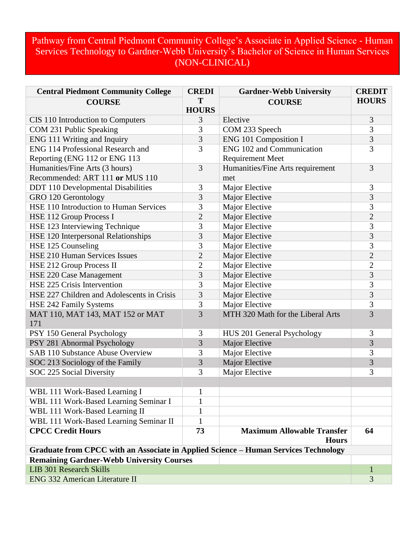## Pathway from Central Piedmont Community College's Associate in Applied Science - Human Services Technology to Gardner-Webb University's Bachelor of Science in Human Services (NON-CLINICAL)

| <b>Central Piedmont Community College</b>                                           | <b>CREDI</b>   | <b>Gardner-Webb University</b>    | <b>CREDIT</b>  |  |
|-------------------------------------------------------------------------------------|----------------|-----------------------------------|----------------|--|
| <b>COURSE</b>                                                                       | T              | <b>COURSE</b>                     | <b>HOURS</b>   |  |
|                                                                                     | <b>HOURS</b>   |                                   |                |  |
| CIS 110 Introduction to Computers                                                   | 3              | Elective                          | 3              |  |
| COM 231 Public Speaking                                                             | 3              | COM 233 Speech                    | 3              |  |
| ENG 111 Writing and Inquiry                                                         | 3              | <b>ENG 101 Composition I</b>      | 3              |  |
| ENG 114 Professional Research and                                                   | 3              | <b>ENG 102 and Communication</b>  | 3              |  |
| Reporting (ENG 112 or ENG 113                                                       |                | <b>Requirement Meet</b>           |                |  |
| Humanities/Fine Arts (3 hours)                                                      | 3              | Humanities/Fine Arts requirement  | 3              |  |
| Recommended: ART 111 or MUS 110                                                     |                | met                               |                |  |
| <b>DDT</b> 110 Developmental Disabilities                                           | 3              | Major Elective                    | 3              |  |
| GRO 120 Gerontology                                                                 | 3              | Major Elective                    | 3              |  |
| HSE 110 Introduction to Human Services                                              | 3              | Major Elective                    | 3              |  |
| HSE 112 Group Process I                                                             | $\overline{2}$ | Major Elective                    | $\overline{2}$ |  |
| HSE 123 Interviewing Technique                                                      | 3              | Major Elective                    | 3              |  |
| HSE 120 Interpersonal Relationships                                                 | 3              | Major Elective                    | 3              |  |
| HSE 125 Counseling                                                                  | 3              | Major Elective                    | 3              |  |
| <b>HSE 210 Human Services Issues</b>                                                | $\overline{2}$ | Major Elective                    | $\overline{2}$ |  |
| HSE 212 Group Process II                                                            | $\overline{2}$ | Major Elective                    | $\overline{2}$ |  |
| HSE 220 Case Management                                                             | 3              | Major Elective                    | 3              |  |
| HSE 225 Crisis Intervention                                                         | 3              | Major Elective                    | 3              |  |
| HSE 227 Children and Adolescents in Crisis                                          | 3              | Major Elective                    | 3              |  |
| HSE 242 Family Systems                                                              | 3              | Major Elective                    | 3              |  |
| MAT 110, MAT 143, MAT 152 or MAT                                                    | $\overline{3}$ | MTH 320 Math for the Liberal Arts | $\overline{3}$ |  |
| 171                                                                                 |                |                                   |                |  |
| PSY 150 General Psychology                                                          | 3              | HUS 201 General Psychology        | 3              |  |
| PSY 281 Abnormal Psychology                                                         | 3              | Major Elective                    | 3              |  |
| <b>SAB 110 Substance Abuse Overview</b>                                             | 3              | Major Elective                    | 3              |  |
| SOC 213 Sociology of the Family                                                     | 3              | Major Elective                    | 3              |  |
| SOC 225 Social Diversity                                                            | 3              | Major Elective                    | 3              |  |
|                                                                                     |                |                                   |                |  |
| WBL 111 Work-Based Learning I                                                       | 1              |                                   |                |  |
| WBL 111 Work-Based Learning Seminar I                                               | 1              |                                   |                |  |
| WBL 111 Work-Based Learning II                                                      | 1              |                                   |                |  |
| WBL 111 Work-Based Learning Seminar II                                              | 1              |                                   |                |  |
| <b>CPCC Credit Hours</b>                                                            | 73             | <b>Maximum Allowable Transfer</b> | 64             |  |
|                                                                                     |                | <b>Hours</b>                      |                |  |
| Graduate from CPCC with an Associate in Applied Science - Human Services Technology |                |                                   |                |  |
| <b>Remaining Gardner-Webb University Courses</b>                                    |                |                                   |                |  |
| <b>LIB 301 Research Skills</b>                                                      |                |                                   | 1              |  |
| <b>ENG 332 American Literature II</b>                                               |                |                                   | 3              |  |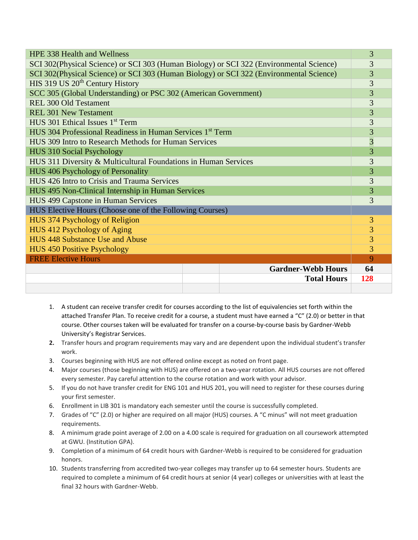| <b>HPE 338 Health and Wellness</b>                                                      |     |  |
|-----------------------------------------------------------------------------------------|-----|--|
| SCI 302(Physical Science) or SCI 303 (Human Biology) or SCI 322 (Environmental Science) |     |  |
| SCI 302(Physical Science) or SCI 303 (Human Biology) or SCI 322 (Environmental Science) |     |  |
| HIS 319 US 20 <sup>th</sup> Century History                                             |     |  |
| SCC 305 (Global Understanding) or PSC 302 (American Government)                         |     |  |
| <b>REL 300 Old Testament</b>                                                            |     |  |
| <b>REL 301 New Testament</b>                                                            |     |  |
| $HUS$ 301 Ethical Issues $1st$ Term                                                     |     |  |
| HUS 304 Professional Readiness in Human Services 1 <sup>st</sup> Term                   |     |  |
| HUS 309 Intro to Research Methods for Human Services                                    |     |  |
| HUS 310 Social Psychology                                                               |     |  |
| HUS 311 Diversity & Multicultural Foundations in Human Services                         |     |  |
| HUS 406 Psychology of Personality                                                       |     |  |
| HUS 426 Intro to Crisis and Trauma Services                                             |     |  |
| HUS 495 Non-Clinical Internship in Human Services                                       |     |  |
| HUS 499 Capstone in Human Services                                                      |     |  |
| HUS Elective Hours (Choose one of the Following Courses)                                |     |  |
| HUS 374 Psychology of Religion                                                          |     |  |
| HUS 412 Psychology of Aging                                                             |     |  |
| HUS 448 Substance Use and Abuse                                                         |     |  |
| <b>HUS 450 Positive Psychology</b>                                                      |     |  |
| <b>FREE Elective Hours</b>                                                              | 9   |  |
| <b>Gardner-Webb Hours</b>                                                               | 64  |  |
| <b>Total Hours</b>                                                                      | 128 |  |
|                                                                                         |     |  |

- 1. A student can receive transfer credit for courses according to the list of equivalencies set forth within the attached Transfer Plan. To receive credit for a course, a student must have earned a "C" (2.0) or better in that course. Other courses taken will be evaluated for transfer on a course-by-course basis by Gardner-Webb University's Registrar Services.
- **2.** Transfer hours and program requirements may vary and are dependent upon the individual student's transfer work.
- 3. Courses beginning with HUS are not offered online except as noted on front page.
- 4. Major courses (those beginning with HUS) are offered on a two-year rotation. All HUS courses are not offered every semester. Pay careful attention to the course rotation and work with your advisor.
- 5. If you do not have transfer credit for ENG 101 and HUS 201, you will need to register for these courses during your first semester.
- 6. Enrollment in LIB 301 is mandatory each semester until the course is successfully completed.
- 7. Grades of "C" (2.0) or higher are required on all major (HUS) courses. A "C minus" will not meet graduation requirements.
- 8. A minimum grade point average of 2.00 on a 4.00 scale is required for graduation on all coursework attempted at GWU. (Institution GPA).
- 9. Completion of a minimum of 64 credit hours with Gardner-Webb is required to be considered for graduation honors.
- 10. Students transferring from accredited two-year colleges may transfer up to 64 semester hours. Students are required to complete a minimum of 64 credit hours at senior (4 year) colleges or universities with at least the final 32 hours with Gardner-Webb.